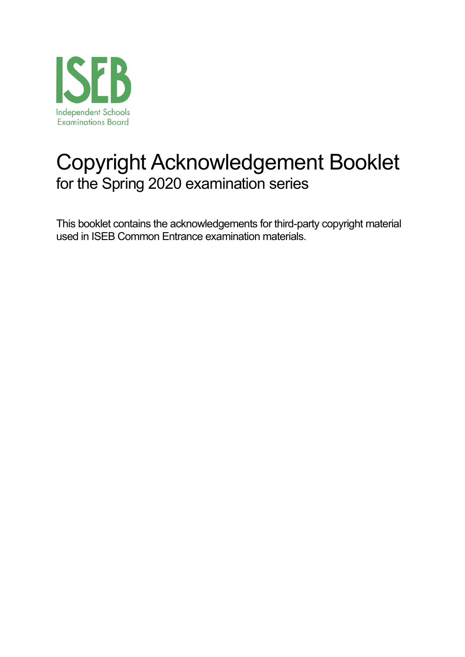![](_page_0_Picture_0.jpeg)

# Copyright Acknowledgement Booklet for the Spring 2020 examination series

This booklet contains the acknowledgements for third-party copyright material used in ISEB Common Entrance examination materials.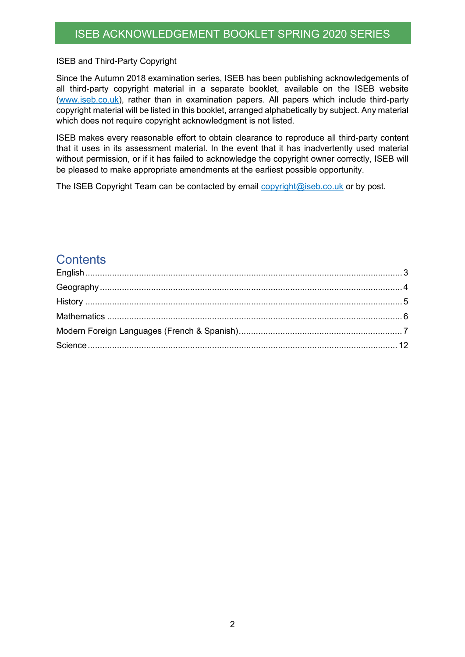#### ISEB and Third-Party Copyright

Since the Autumn 2018 examination series, ISEB has been publishing acknowledgements of all third-party copyright material in a separate booklet, available on the ISEB website (www.iseb.co.uk), rather than in examination papers. All papers which include third-party copyright material will be listed in this booklet, arranged alphabetically by subject. Any material which does not require copyright acknowledgment is not listed.

ISEB makes every reasonable effort to obtain clearance to reproduce all third-party content that it uses in its assessment material. In the event that it has inadvertently used material without permission, or if it has failed to acknowledge the copyright owner correctly, ISEB will be pleased to make appropriate amendments at the earliest possible opportunity.

The ISEB Copyright Team can be contacted by email copyright@iseb.co.uk or by post.

### **Contents**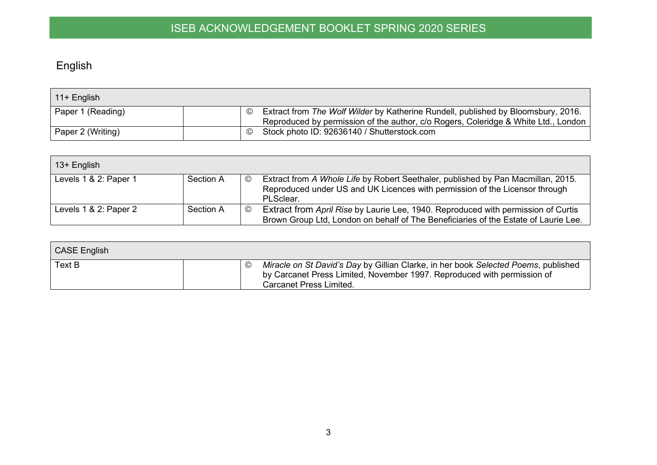# English

| $\vert$ 11+ English |                                                                                                                                                                         |
|---------------------|-------------------------------------------------------------------------------------------------------------------------------------------------------------------------|
| Paper 1 (Reading)   | Extract from The Wolf Wilder by Katherine Rundell, published by Bloomsbury, 2016.<br>Reproduced by permission of the author, c/o Rogers, Coleridge & White Ltd., London |
| Paper 2 (Writing)   | Stock photo ID: 92636140 / Shutterstock.com<br>$\odot$                                                                                                                  |

| 13+ English           |           |         |                                                                                                                                                                              |
|-----------------------|-----------|---------|------------------------------------------------------------------------------------------------------------------------------------------------------------------------------|
| Levels 1 & 2: Paper 1 | Section A | $\odot$ | Extract from A Whole Life by Robert Seethaler, published by Pan Macmillan, 2015.<br>Reproduced under US and UK Licences with permission of the Licensor through<br>PLSclear. |
| Levels 1 & 2: Paper 2 | Section A | $\odot$ | Extract from April Rise by Laurie Lee, 1940. Reproduced with permission of Curtis<br>Brown Group Ltd, London on behalf of The Beneficiaries of the Estate of Laurie Lee.     |

<span id="page-2-0"></span>

| <b>CASE English</b> |                                                                                                                                                                                                 |
|---------------------|-------------------------------------------------------------------------------------------------------------------------------------------------------------------------------------------------|
| <b>Text B</b>       | Miracle on St David's Day by Gillian Clarke, in her book Selected Poems, published<br>by Carcanet Press Limited, November 1997. Reproduced with permission of<br><b>Carcanet Press Limited.</b> |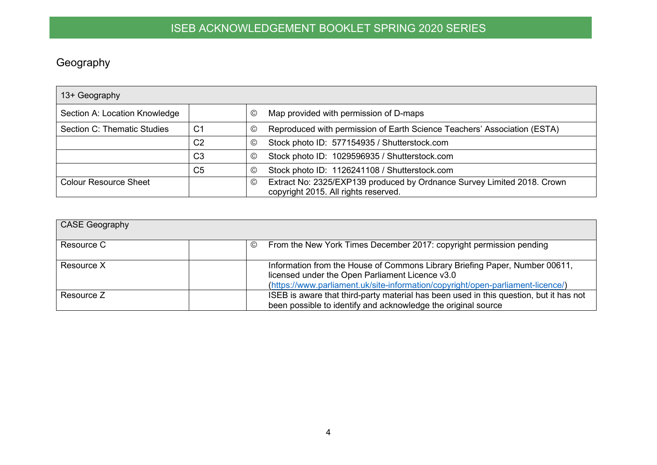# Geography

| 13+ Geography                 |                |                 |                                                                                                                 |
|-------------------------------|----------------|-----------------|-----------------------------------------------------------------------------------------------------------------|
| Section A: Location Knowledge |                | $\circled{c}$   | Map provided with permission of D-maps                                                                          |
| Section C: Thematic Studies   | C <sub>1</sub> | $_{\mathbb{O}}$ | Reproduced with permission of Earth Science Teachers' Association (ESTA)                                        |
|                               | C <sub>2</sub> | $\circled{c}$   | Stock photo ID: 577154935 / Shutterstock.com                                                                    |
|                               | C <sub>3</sub> | $^{\circ}$      | Stock photo ID: 1029596935 / Shutterstock.com                                                                   |
|                               | C <sub>5</sub> | $\circled{c}$   | Stock photo ID: 1126241108 / Shutterstock.com                                                                   |
| <b>Colour Resource Sheet</b>  |                | $\circled{c}$   | Extract No: 2325/EXP139 produced by Ordnance Survey Limited 2018. Crown<br>copyright 2015. All rights reserved. |

<span id="page-3-0"></span>

| <b>CASE Geography</b> |                                                                                                                                                                                                                   |
|-----------------------|-------------------------------------------------------------------------------------------------------------------------------------------------------------------------------------------------------------------|
| Resource C            | From the New York Times December 2017: copyright permission pending<br>$\circledcirc$                                                                                                                             |
| Resource X            | Information from the House of Commons Library Briefing Paper, Number 00611,<br>licensed under the Open Parliament Licence v3.0<br>(https://www.parliament.uk/site-information/copyright/open-parliament-licence/) |
| Resource Z            | ISEB is aware that third-party material has been used in this question, but it has not<br>been possible to identify and acknowledge the original source                                                           |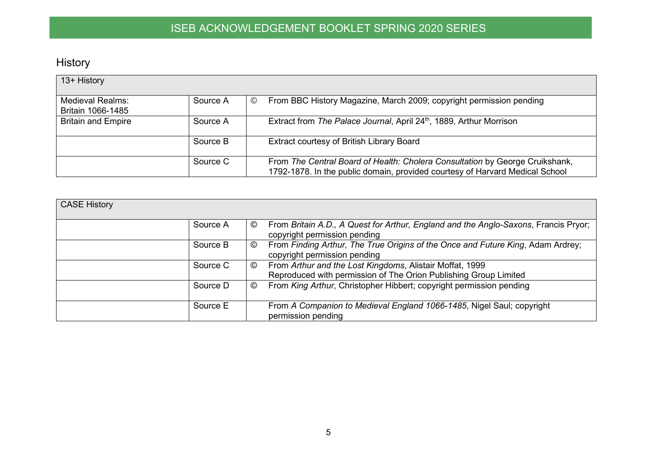# History

| 13+ History                                  |          |                                                                                                                                                              |
|----------------------------------------------|----------|--------------------------------------------------------------------------------------------------------------------------------------------------------------|
| <b>Medieval Realms:</b><br>Britain 1066-1485 | Source A | From BBC History Magazine, March 2009; copyright permission pending<br>$\odot$                                                                               |
| <b>Britain and Empire</b>                    | Source A | Extract from The Palace Journal, April 24 <sup>th</sup> , 1889, Arthur Morrison                                                                              |
|                                              | Source B | Extract courtesy of British Library Board                                                                                                                    |
|                                              | Source C | From The Central Board of Health: Cholera Consultation by George Cruikshank,<br>1792-1878. In the public domain, provided courtesy of Harvard Medical School |

<span id="page-4-0"></span>

| <b>CASE History</b> |               |                                                                                                                              |
|---------------------|---------------|------------------------------------------------------------------------------------------------------------------------------|
|                     | Source A<br>© | From Britain A.D., A Quest for Arthur, England and the Anglo-Saxons, Francis Pryor;<br>copyright permission pending          |
|                     | Source B<br>© | From Finding Arthur, The True Origins of the Once and Future King, Adam Ardrey;<br>copyright permission pending              |
|                     | Source C<br>© | From Arthur and the Lost Kingdoms, Alistair Moffat, 1999<br>Reproduced with permission of The Orion Publishing Group Limited |
|                     | Source D<br>O | From King Arthur, Christopher Hibbert; copyright permission pending                                                          |
|                     | Source E      | From A Companion to Medieval England 1066-1485, Nigel Saul; copyright<br>permission pending                                  |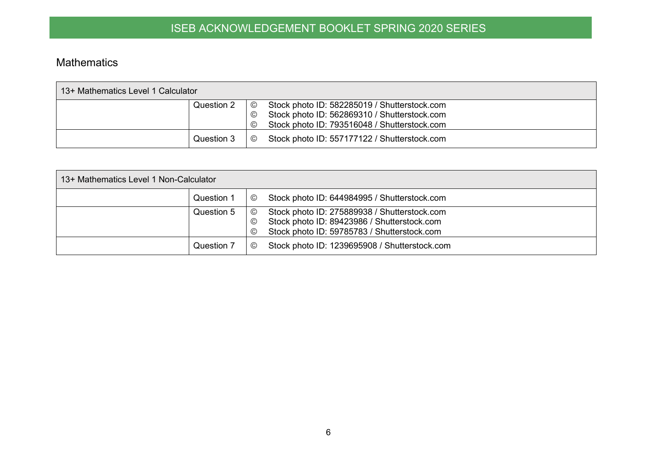#### Mathematics

| 13+ Mathematics Level 1 Calculator |                                                                                                                                                                                       |  |  |  |  |
|------------------------------------|---------------------------------------------------------------------------------------------------------------------------------------------------------------------------------------|--|--|--|--|
| Question 2                         | Stock photo ID: 582285019 / Shutterstock.com<br>$\odot$<br>Stock photo ID: 562869310 / Shutterstock.com<br>$\rm (C)$<br>Stock photo ID: 793516048 / Shutterstock.com<br>$\circled{c}$ |  |  |  |  |
| Question 3                         | Stock photo ID: 557177122 / Shutterstock.com<br>$\circled{c}$                                                                                                                         |  |  |  |  |

<span id="page-5-0"></span>

| 13+ Mathematics Level 1 Non-Calculator |                                      |                                                                                                                                            |  |  |  |
|----------------------------------------|--------------------------------------|--------------------------------------------------------------------------------------------------------------------------------------------|--|--|--|
| Question 1                             | $\circledcirc$                       | Stock photo ID: 644984995 / Shutterstock.com                                                                                               |  |  |  |
| Question 5                             | $\circledcirc$<br>$\circled{c}$<br>© | Stock photo ID: 275889938 / Shutterstock.com<br>Stock photo ID: 89423986 / Shutterstock.com<br>Stock photo ID: 59785783 / Shutterstock.com |  |  |  |
| Question 7                             | $\odot$                              | Stock photo ID: 1239695908 / Shutterstock.com                                                                                              |  |  |  |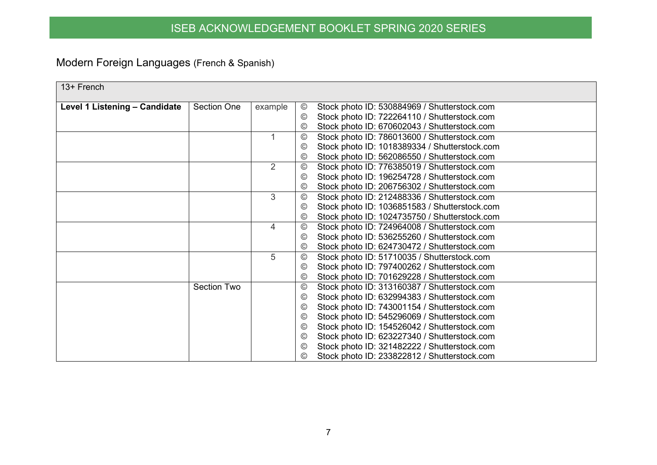# Modern Foreign Languages (French & Spanish)

<span id="page-6-0"></span>

| 13+ French<br>Level 1 Listening - Candidate<br><b>Section One</b><br>Stock photo ID: 530884969 / Shutterstock.com<br>example<br>$_{\odot}$<br>Stock photo ID: 722264110 / Shutterstock.com<br>$_{\mathbb{O}}$<br>Stock photo ID: 670602043 / Shutterstock.com<br>$\odot$<br>Stock photo ID: 786013600 / Shutterstock.com<br>$_{\mathbb{O}}$<br>Stock photo ID: 1018389334 / Shutterstock.com<br>$\odot$ |  |  |
|---------------------------------------------------------------------------------------------------------------------------------------------------------------------------------------------------------------------------------------------------------------------------------------------------------------------------------------------------------------------------------------------------------|--|--|
|                                                                                                                                                                                                                                                                                                                                                                                                         |  |  |
|                                                                                                                                                                                                                                                                                                                                                                                                         |  |  |
|                                                                                                                                                                                                                                                                                                                                                                                                         |  |  |
|                                                                                                                                                                                                                                                                                                                                                                                                         |  |  |
|                                                                                                                                                                                                                                                                                                                                                                                                         |  |  |
|                                                                                                                                                                                                                                                                                                                                                                                                         |  |  |
|                                                                                                                                                                                                                                                                                                                                                                                                         |  |  |
| Stock photo ID: 562086550 / Shutterstock.com<br>$_{\mathbb{C}}$                                                                                                                                                                                                                                                                                                                                         |  |  |
| $\overline{2}$<br>$^{\circ}$<br>Stock photo ID: 776385019 / Shutterstock.com                                                                                                                                                                                                                                                                                                                            |  |  |
| Stock photo ID: 196254728 / Shutterstock.com<br>$\odot$                                                                                                                                                                                                                                                                                                                                                 |  |  |
| Stock photo ID: 206756302 / Shutterstock.com<br>$\odot$                                                                                                                                                                                                                                                                                                                                                 |  |  |
| 3<br>Stock photo ID: 212488336 / Shutterstock.com<br>$_{\mathbb{O}}$                                                                                                                                                                                                                                                                                                                                    |  |  |
| Stock photo ID: 1036851583 / Shutterstock.com<br>$_{\mathbb{O}}$                                                                                                                                                                                                                                                                                                                                        |  |  |
| Stock photo ID: 1024735750 / Shutterstock.com<br>$^{\copyright}$                                                                                                                                                                                                                                                                                                                                        |  |  |
| $^{\circledR}$<br>Stock photo ID: 724964008 / Shutterstock.com<br>4                                                                                                                                                                                                                                                                                                                                     |  |  |
| Stock photo ID: 536255260 / Shutterstock.com<br>$\odot$                                                                                                                                                                                                                                                                                                                                                 |  |  |
| Stock photo ID: 624730472 / Shutterstock.com<br>$_{\mathbb{C}}$                                                                                                                                                                                                                                                                                                                                         |  |  |
| 5<br>$\circledcirc$<br>Stock photo ID: 51710035 / Shutterstock.com                                                                                                                                                                                                                                                                                                                                      |  |  |
| Stock photo ID: 797400262 / Shutterstock.com<br>$_{\mathbb{C}}$                                                                                                                                                                                                                                                                                                                                         |  |  |
| Stock photo ID: 701629228 / Shutterstock.com<br>$^{\copyright}$                                                                                                                                                                                                                                                                                                                                         |  |  |
| <b>Section Two</b><br>Stock photo ID: 313160387 / Shutterstock.com<br>$_{\mathbb{O}}$                                                                                                                                                                                                                                                                                                                   |  |  |
| Stock photo ID: 632994383 / Shutterstock.com<br>$_{\mathbb{C}}$                                                                                                                                                                                                                                                                                                                                         |  |  |
| Stock photo ID: 743001154 / Shutterstock.com<br>$_{\mathbb{O}}$                                                                                                                                                                                                                                                                                                                                         |  |  |
| Stock photo ID: 545296069 / Shutterstock.com<br>$\odot$                                                                                                                                                                                                                                                                                                                                                 |  |  |
| Stock photo ID: 154526042 / Shutterstock.com<br>$_{\odot}$                                                                                                                                                                                                                                                                                                                                              |  |  |
| Stock photo ID: 623227340 / Shutterstock.com<br>$_{\odot}$                                                                                                                                                                                                                                                                                                                                              |  |  |
| Stock photo ID: 321482222 / Shutterstock.com<br>$_{\mathbb{C}}$                                                                                                                                                                                                                                                                                                                                         |  |  |
| Stock photo ID: 233822812 / Shutterstock.com<br>©                                                                                                                                                                                                                                                                                                                                                       |  |  |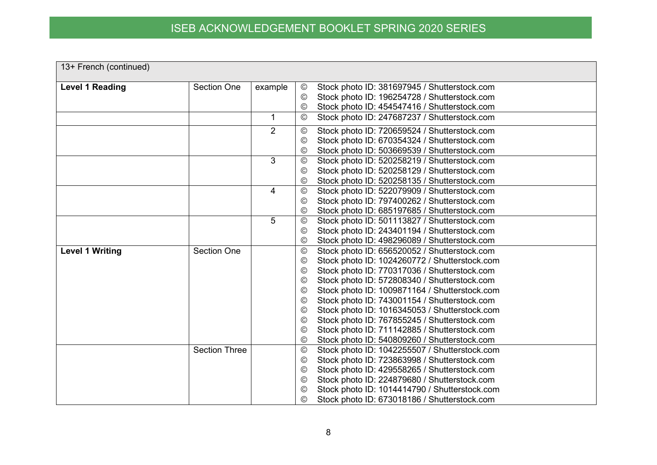| 13+ French (continued) |                      |                |                                  |                                                                                               |
|------------------------|----------------------|----------------|----------------------------------|-----------------------------------------------------------------------------------------------|
| <b>Level 1 Reading</b> | <b>Section One</b>   | example        | $^{\copyright}$                  | Stock photo ID: 381697945 / Shutterstock.com                                                  |
|                        |                      |                | $\circledcirc$                   | Stock photo ID: 196254728 / Shutterstock.com                                                  |
|                        |                      |                | $_{\mathbb{O}}$                  | Stock photo ID: 454547416 / Shutterstock.com                                                  |
|                        |                      | 1              | $\odot$                          | Stock photo ID: 247687237 / Shutterstock.com                                                  |
|                        |                      | $\overline{2}$ | $_{\mathbb{O}}$                  | Stock photo ID: 720659524 / Shutterstock.com                                                  |
|                        |                      |                | $\circledcirc$                   | Stock photo ID: 670354324 / Shutterstock.com                                                  |
|                        |                      |                | $\odot$                          | Stock photo ID: 503669539 / Shutterstock.com                                                  |
|                        |                      | 3              | $\circledcirc$                   | Stock photo ID: 520258219 / Shutterstock.com                                                  |
|                        |                      |                | $\odot$                          | Stock photo ID: 520258129 / Shutterstock.com                                                  |
|                        |                      |                | $_{\mathbb{O}}$                  | Stock photo ID: 520258135 / Shutterstock.com                                                  |
|                        |                      | 4              | $\circledcirc$                   | Stock photo ID: 522079909 / Shutterstock.com                                                  |
|                        |                      |                | $\odot$                          | Stock photo ID: 797400262 / Shutterstock.com                                                  |
|                        |                      |                | $_{\mathbb{O}}$                  | Stock photo ID: 685197685 / Shutterstock.com                                                  |
|                        |                      | 5              | $^\copyright$                    | Stock photo ID: 501113827 / Shutterstock.com                                                  |
|                        |                      |                | $_{\mathbb{O}}$                  | Stock photo ID: 243401194 / Shutterstock.com                                                  |
|                        |                      |                | $_{\mathbb{O}}$                  | Stock photo ID: 498296089 / Shutterstock.com                                                  |
| <b>Level 1 Writing</b> | <b>Section One</b>   |                | $^{\copyright}$                  | Stock photo ID: 656520052 / Shutterstock.com                                                  |
|                        |                      |                | $\circledcirc$                   | Stock photo ID: 1024260772 / Shutterstock.com                                                 |
|                        |                      |                | $\odot$                          | Stock photo ID: 770317036 / Shutterstock.com                                                  |
|                        |                      |                | $\odot$                          | Stock photo ID: 572808340 / Shutterstock.com                                                  |
|                        |                      |                | $_{\mathbb{C}}$                  | Stock photo ID: 1009871164 / Shutterstock.com                                                 |
|                        |                      |                | $^{\circledR}$                   | Stock photo ID: 743001154 / Shutterstock.com                                                  |
|                        |                      |                | $\circledcirc$                   | Stock photo ID: 1016345053 / Shutterstock.com                                                 |
|                        |                      |                | $\circledcirc$                   | Stock photo ID: 767855245 / Shutterstock.com                                                  |
|                        |                      |                | $_{\mathbb{O}}$                  | Stock photo ID: 711142885 / Shutterstock.com                                                  |
|                        |                      |                | $\circledcirc$                   | Stock photo ID: 540809260 / Shutterstock.com                                                  |
|                        | <b>Section Three</b> |                | $^{\circledR}$                   | Stock photo ID: 1042255507 / Shutterstock.com                                                 |
|                        |                      |                | ©                                | Stock photo ID: 723863998 / Shutterstock.com                                                  |
|                        |                      |                | $\circledcirc$<br>$\circledcirc$ | Stock photo ID: 429558265 / Shutterstock.com                                                  |
|                        |                      |                | $\odot$                          | Stock photo ID: 224879680 / Shutterstock.com<br>Stock photo ID: 1014414790 / Shutterstock.com |
|                        |                      |                | $^{\circledR}$                   | Stock photo ID: 673018186 / Shutterstock.com                                                  |
|                        |                      |                |                                  |                                                                                               |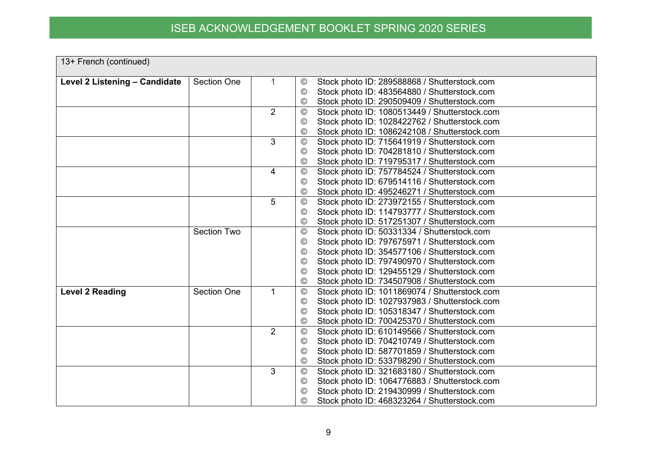| 13+ French (continued)        |                    |                |                                                                                                                                 |
|-------------------------------|--------------------|----------------|---------------------------------------------------------------------------------------------------------------------------------|
| Level 2 Listening - Candidate | <b>Section One</b> |                | Stock photo ID: 289588868 / Shutterstock.com<br>$^\copyright$                                                                   |
|                               |                    |                | Stock photo ID: 483564880 / Shutterstock.com<br>©                                                                               |
|                               |                    |                | Stock photo ID: 290509409 / Shutterstock.com<br>$\circledcirc$                                                                  |
|                               |                    | $\overline{2}$ | Stock photo ID: 1080513449 / Shutterstock.com<br>$^{\circledR}$                                                                 |
|                               |                    |                | Stock photo ID: 1028422762 / Shutterstock.com<br>©                                                                              |
|                               |                    |                | Stock photo ID: 1086242108 / Shutterstock.com<br>$^\copyright$                                                                  |
|                               |                    | 3              | Stock photo ID: 715641919 / Shutterstock.com<br>$^{\circledR}$                                                                  |
|                               |                    |                | Stock photo ID: 704281810 / Shutterstock.com<br>$^{\circledR}$                                                                  |
|                               |                    |                | Stock photo ID: 719795317 / Shutterstock.com<br>$\circledcirc$                                                                  |
|                               |                    | 4              | Stock photo ID: 757784524 / Shutterstock.com<br>$_{\mathbb{C}}$                                                                 |
|                               |                    |                | Stock photo ID: 679514116 / Shutterstock.com<br>©                                                                               |
|                               |                    |                | Stock photo ID: 495246271 / Shutterstock.com<br>©                                                                               |
|                               |                    | 5              | Stock photo ID: 273972155 / Shutterstock.com<br>$^{\circledR}$                                                                  |
|                               |                    |                | Stock photo ID: 114793777 / Shutterstock.com<br>©                                                                               |
|                               |                    |                | Stock photo ID: 517251307 / Shutterstock.com<br>©                                                                               |
|                               | <b>Section Two</b> |                | Stock photo ID: 50331334 / Shutterstock.com<br>$\circledcirc$                                                                   |
|                               |                    |                | Stock photo ID: 797675971 / Shutterstock.com<br>©                                                                               |
|                               |                    |                | Stock photo ID: 354577106 / Shutterstock.com<br>$\circledcirc$                                                                  |
|                               |                    |                | Stock photo ID: 797490970 / Shutterstock.com<br>$\circledcirc$                                                                  |
|                               |                    |                | Stock photo ID: 129455129 / Shutterstock.com<br>$^{\circledR}$                                                                  |
|                               | <b>Section One</b> |                | Stock photo ID: 734507908 / Shutterstock.com<br>$^\copyright$                                                                   |
| <b>Level 2 Reading</b>        |                    |                | Stock photo ID: 1011869074 / Shutterstock.com<br>$\circledcirc$                                                                 |
|                               |                    |                | Stock photo ID: 1027937983 / Shutterstock.com<br>©                                                                              |
|                               |                    |                | Stock photo ID: 105318347 / Shutterstock.com<br>$^\copyright$<br>Stock photo ID: 700425370 / Shutterstock.com<br>$\circledcirc$ |
|                               |                    | $\overline{2}$ | Stock photo ID: 610149566 / Shutterstock.com<br>$\circledcirc$                                                                  |
|                               |                    |                | Stock photo ID: 704210749 / Shutterstock.com<br>$^\copyright$                                                                   |
|                               |                    |                | Stock photo ID: 587701859 / Shutterstock.com<br>$\circledcirc$                                                                  |
|                               |                    |                | Stock photo ID: 533798290 / Shutterstock.com<br>$\circledcirc$                                                                  |
|                               |                    | 3              | Stock photo ID: 321683180 / Shutterstock.com<br>$_{\mathbb{C}}$                                                                 |
|                               |                    |                | Stock photo ID: 1064776883 / Shutterstock.com<br>$\odot$                                                                        |
|                               |                    |                | Stock photo ID: 219430999 / Shutterstock.com<br>©                                                                               |
|                               |                    |                | Stock photo ID: 468323264 / Shutterstock.com<br>©                                                                               |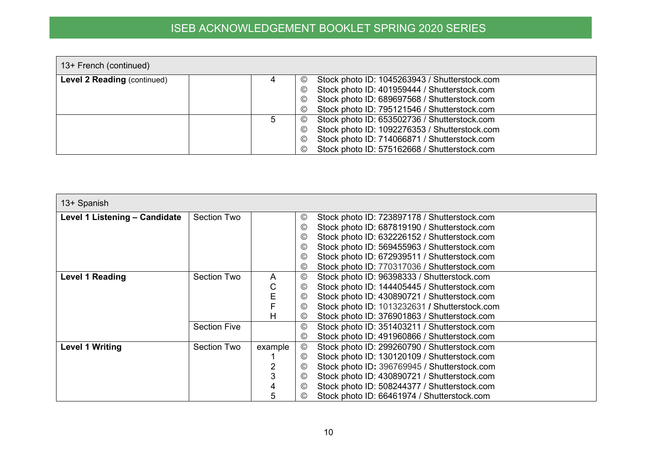| 13+ French (continued)             |   |                                                                  |
|------------------------------------|---|------------------------------------------------------------------|
| <b>Level 2 Reading (continued)</b> | 4 | Stock photo ID: 1045263943 / Shutterstock.com<br>$\odot$         |
|                                    |   | Stock photo ID: 401959444 / Shutterstock.com<br>$_{\mathbb{C}}$  |
|                                    |   | Stock photo ID: 689697568 / Shutterstock.com<br>$_{\mathbb{C}}$  |
|                                    |   | Stock photo ID: 795121546 / Shutterstock.com<br>$_{\mathbb{C}}$  |
|                                    | 5 | Stock photo ID: 653502736 / Shutterstock.com<br>$\odot$          |
|                                    |   | Stock photo ID: 1092276353 / Shutterstock.com<br>$_{\mathbb{C}}$ |
|                                    |   | Stock photo ID: 714066871 / Shutterstock.com<br>$_{\mathbb{C}}$  |
|                                    |   | Stock photo ID: 575162668 / Shutterstock.com<br>$\odot$          |

| 13+ Spanish                   |                     |         |                 |                                               |
|-------------------------------|---------------------|---------|-----------------|-----------------------------------------------|
| Level 1 Listening - Candidate | <b>Section Two</b>  |         | ©               | Stock photo ID: 723897178 / Shutterstock.com  |
|                               |                     |         | $_{\mathbb{C}}$ | Stock photo ID: 687819190 / Shutterstock.com  |
|                               |                     |         | ©               | Stock photo ID: 632226152 / Shutterstock.com  |
|                               |                     |         | $^{\circledR}$  | Stock photo ID: 569455963 / Shutterstock.com  |
|                               |                     |         | ©               | Stock photo ID: 672939511 / Shutterstock.com  |
|                               |                     |         | $_{\mathbb{C}}$ | Stock photo ID: 770317036 / Shutterstock.com  |
| <b>Level 1 Reading</b>        | <b>Section Two</b>  | A       | $_{\mathbb{C}}$ | Stock photo ID: 96398333 / Shutterstock.com   |
|                               |                     | С       | ©               | Stock photo ID: 144405445 / Shutterstock.com  |
|                               |                     | Е       | ©               | Stock photo ID: 430890721 / Shutterstock.com  |
|                               |                     |         | $\circledcirc$  | Stock photo ID: 1013232631 / Shutterstock.com |
|                               |                     | н       | ©               | Stock photo ID: 376901863 / Shutterstock.com  |
|                               | <b>Section Five</b> |         | $\circledcirc$  | Stock photo ID: 351403211 / Shutterstock.com  |
|                               |                     |         | $_{\mathbb{C}}$ | Stock photo ID: 491960866 / Shutterstock.com  |
| <b>Level 1 Writing</b>        | Section Two         | example | $^{\circledR}$  | Stock photo ID: 299260790 / Shutterstock.com  |
|                               |                     |         | ©               | Stock photo ID: 130120109 / Shutterstock.com  |
|                               |                     |         | $\circledcirc$  | Stock photo ID: 396769945 / Shutterstock.com  |
|                               |                     |         | $\circledcirc$  | Stock photo ID: 430890721 / Shutterstock.com  |
|                               |                     | 4       | $_{\mathbb{C}}$ | Stock photo ID: 508244377 / Shutterstock.com  |
|                               |                     | 5       | ©               | Stock photo ID: 66461974 / Shutterstock.com   |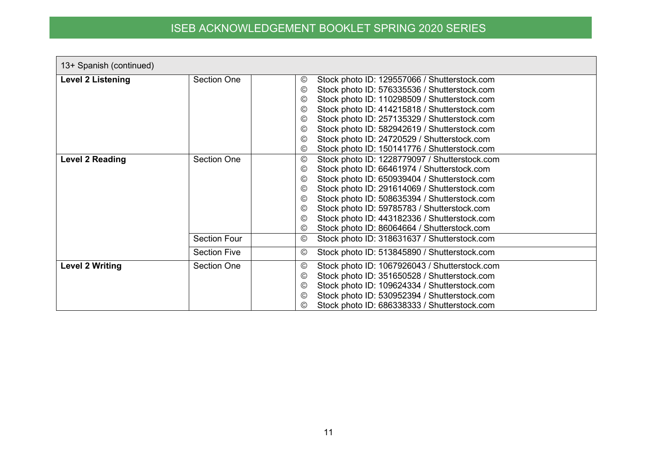| 13+ Spanish (continued)  |                                            |                                                                                                                                                                                                                                                                                                                                                                                                                                                                                                                                      |
|--------------------------|--------------------------------------------|--------------------------------------------------------------------------------------------------------------------------------------------------------------------------------------------------------------------------------------------------------------------------------------------------------------------------------------------------------------------------------------------------------------------------------------------------------------------------------------------------------------------------------------|
| <b>Level 2 Listening</b> | Section One                                | Stock photo ID: 129557066 / Shutterstock.com<br>$\circledcirc$<br>Stock photo ID: 576335536 / Shutterstock.com<br>$\circledcirc$<br>Stock photo ID: 110298509 / Shutterstock.com<br>$\circledcirc$<br>Stock photo ID: 414215818 / Shutterstock.com<br>$\circledcirc$<br>Stock photo ID: 257135329 / Shutterstock.com<br>$\circledcirc$<br>Stock photo ID: 582942619 / Shutterstock.com<br>$\odot$<br>Stock photo ID: 24720529 / Shutterstock.com<br>$\circledcirc$<br>Stock photo ID: 150141776 / Shutterstock.com<br>$\circledcirc$ |
| <b>Level 2 Reading</b>   | <b>Section One</b>                         | Stock photo ID: 1228779097 / Shutterstock.com<br>$\circledcirc$<br>Stock photo ID: 66461974 / Shutterstock.com<br>$\odot$<br>Stock photo ID: 650939404 / Shutterstock.com<br>$\circledcirc$<br>Stock photo ID: 291614069 / Shutterstock.com<br>$\odot$<br>Stock photo ID: 508635394 / Shutterstock.com<br>$\odot$<br>Stock photo ID: 59785783 / Shutterstock.com<br>$\odot$<br>Stock photo ID: 443182336 / Shutterstock.com<br>$\circledcirc$<br>Stock photo ID: 86064664 / Shutterstock.com<br>$\circledcirc$                       |
|                          | <b>Section Four</b><br><b>Section Five</b> | Stock photo ID: 318631637 / Shutterstock.com<br>$^{\copyright}$<br>Stock photo ID: 513845890 / Shutterstock.com<br>$\circledcirc$                                                                                                                                                                                                                                                                                                                                                                                                    |
| <b>Level 2 Writing</b>   | <b>Section One</b>                         | Stock photo ID: 1067926043 / Shutterstock.com<br>$\circledcirc$<br>Stock photo ID: 351650528 / Shutterstock.com<br>$\circledcirc$<br>Stock photo ID: 109624334 / Shutterstock.com<br>$\odot$<br>Stock photo ID: 530952394 / Shutterstock.com<br>$\odot$<br>Stock photo ID: 686338333 / Shutterstock.com<br>$\circledcirc$                                                                                                                                                                                                            |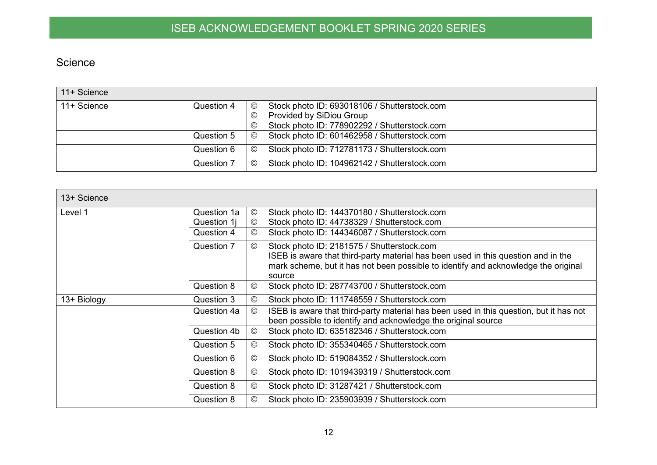#### Science

| 11+ Science |            |                |                                              |
|-------------|------------|----------------|----------------------------------------------|
| 11+ Science | Question 4 | $\odot$        | Stock photo ID: 693018106 / Shutterstock.com |
|             |            | $\circledcirc$ | Provided by SiDiou Group                     |
|             |            | $\odot$        | Stock photo ID: 778902292 / Shutterstock.com |
|             | Question 5 | $\circledcirc$ | Stock photo ID: 601462958 / Shutterstock.com |
|             | Question 6 | $\circledcirc$ | Stock photo ID: 712781173 / Shutterstock.com |
|             | Question 7 | $\odot$        | Stock photo ID: 104962142 / Shutterstock.com |

<span id="page-11-0"></span>

| 13+ Science |             |                |                                                                                                                                                                                                                                 |
|-------------|-------------|----------------|---------------------------------------------------------------------------------------------------------------------------------------------------------------------------------------------------------------------------------|
| Level 1     | Question 1a | $\circledcirc$ | Stock photo ID: 144370180 / Shutterstock.com                                                                                                                                                                                    |
|             | Question 1j | $\circledcirc$ | Stock photo ID: 44738329 / Shutterstock.com                                                                                                                                                                                     |
|             | Question 4  | $\odot$        | Stock photo ID: 144346087 / Shutterstock.com                                                                                                                                                                                    |
|             | Question 7  | $\odot$        | Stock photo ID: 2181575 / Shutterstock.com<br>ISEB is aware that third-party material has been used in this question and in the<br>mark scheme, but it has not been possible to identify and acknowledge the original<br>source |
|             | Question 8  | $\odot$        | Stock photo ID: 287743700 / Shutterstock.com                                                                                                                                                                                    |
| 13+ Biology | Question 3  | $\odot$        | Stock photo ID: 111748559 / Shutterstock.com                                                                                                                                                                                    |
|             | Question 4a | $^{\circledR}$ | ISEB is aware that third-party material has been used in this question, but it has not<br>been possible to identify and acknowledge the original source                                                                         |
|             | Question 4b | $\circledcirc$ | Stock photo ID: 635182346 / Shutterstock.com                                                                                                                                                                                    |
|             | Question 5  | $^{\circledR}$ | Stock photo ID: 355340465 / Shutterstock.com                                                                                                                                                                                    |
|             | Question 6  | $^{\circledR}$ | Stock photo ID: 519084352 / Shutterstock.com                                                                                                                                                                                    |
|             | Question 8  | $^{\circledR}$ | Stock photo ID: 1019439319 / Shutterstock.com                                                                                                                                                                                   |
|             | Question 8  | $\odot$        | Stock photo ID: 31287421 / Shutterstock.com                                                                                                                                                                                     |
|             | Question 8  | $\odot$        | Stock photo ID: 235903939 / Shutterstock.com                                                                                                                                                                                    |